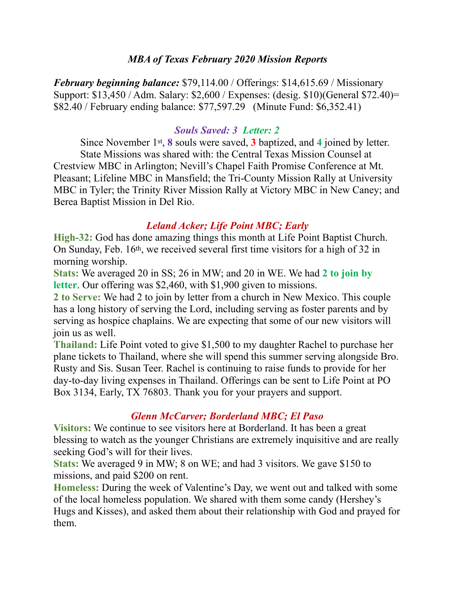#### *MBA of Texas February 2020 Mission Reports*

*February beginning balance:* \$79,114.00 / Offerings: \$14,615.69 / Missionary Support: \$13,450 / Adm. Salary: \$2,600 / Expenses: (desig. \$10)(General \$72.40)= \$82.40 / February ending balance: \$77,597.29 (Minute Fund: \$6,352.41)

#### *Souls Saved: 3 Letter: 2*

 Since November 1st, **8** souls were saved, **3** baptized, and **4** joined by letter. State Missions was shared with: the Central Texas Mission Counsel at Crestview MBC in Arlington; Nevill's Chapel Faith Promise Conference at Mt. Pleasant; Lifeline MBC in Mansfield; the Tri-County Mission Rally at University MBC in Tyler; the Trinity River Mission Rally at Victory MBC in New Caney; and Berea Baptist Mission in Del Rio.

#### *Leland Acker; Life Point MBC; Early*

**High-32:** God has done amazing things this month at Life Point Baptist Church. On Sunday, Feb. 16th, we received several first time visitors for a high of 32 in morning worship.

**Stats:** We averaged 20 in SS; 26 in MW; and 20 in WE. We had **2 to join by letter**. Our offering was \$2,460, with \$1,900 given to missions.

**2 to Serve:** We had 2 to join by letter from a church in New Mexico. This couple has a long history of serving the Lord, including serving as foster parents and by serving as hospice chaplains. We are expecting that some of our new visitors will join us as well.

**Thailand:** Life Point voted to give \$1,500 to my daughter Rachel to purchase her plane tickets to Thailand, where she will spend this summer serving alongside Bro. Rusty and Sis. Susan Teer. Rachel is continuing to raise funds to provide for her day-to-day living expenses in Thailand. Offerings can be sent to Life Point at PO Box 3134, Early, TX 76803. Thank you for your prayers and support.

## *Glenn McCarver; Borderland MBC; El Paso*

**Visitors:** We continue to see visitors here at Borderland. It has been a great blessing to watch as the younger Christians are extremely inquisitive and are really seeking God's will for their lives.

**Stats:** We averaged 9 in MW; 8 on WE; and had 3 visitors. We gave \$150 to missions, and paid \$200 on rent.

**Homeless:** During the week of Valentine's Day, we went out and talked with some of the local homeless population. We shared with them some candy (Hershey's Hugs and Kisses), and asked them about their relationship with God and prayed for them.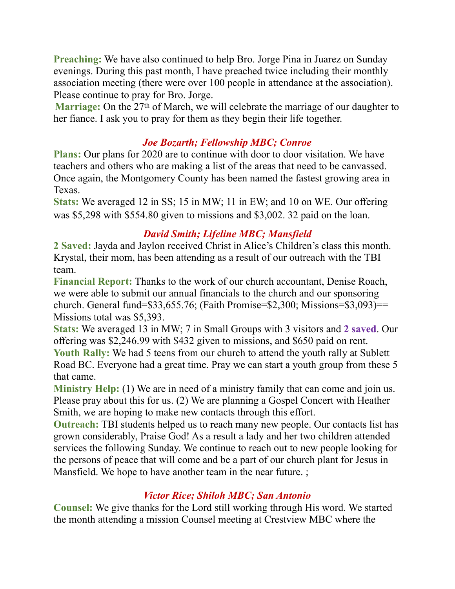**Preaching:** We have also continued to help Bro. Jorge Pina in Juarez on Sunday evenings. During this past month, I have preached twice including their monthly association meeting (there were over 100 people in attendance at the association). Please continue to pray for Bro. Jorge.

**Marriage:** On the 27<sup>th</sup> of March, we will celebrate the marriage of our daughter to her fiance. I ask you to pray for them as they begin their life together.

# *Joe Bozarth; Fellowship MBC; Conroe*

**Plans:** Our plans for 2020 are to continue with door to door visitation. We have teachers and others who are making a list of the areas that need to be canvassed. Once again, the Montgomery County has been named the fastest growing area in Texas.

**Stats:** We averaged 12 in SS; 15 in MW; 11 in EW; and 10 on WE. Our offering was \$5,298 with \$554.80 given to missions and \$3,002. 32 paid on the loan.

### *David Smith; Lifeline MBC; Mansfield*

**2 Saved:** Jayda and Jaylon received Christ in Alice's Children's class this month. Krystal, their mom, has been attending as a result of our outreach with the TBI team.

**Financial Report:** Thanks to the work of our church accountant, Denise Roach, we were able to submit our annual financials to the church and our sponsoring church. General fund= $\$33,655.76$ ; (Faith Promise= $\$2,300$ ; Missions= $\$3,093$ )== Missions total was \$5,393.

**Stats:** We averaged 13 in MW; 7 in Small Groups with 3 visitors and **2 saved**. Our offering was \$2,246.99 with \$432 given to missions, and \$650 paid on rent. **Youth Rally:** We had 5 teens from our church to attend the youth rally at Sublett Road BC. Everyone had a great time. Pray we can start a youth group from these 5 that came.

**Ministry Help:** (1) We are in need of a ministry family that can come and join us. Please pray about this for us. (2) We are planning a Gospel Concert with Heather Smith, we are hoping to make new contacts through this effort.

**Outreach:** TBI students helped us to reach many new people. Our contacts list has grown considerably, Praise God! As a result a lady and her two children attended services the following Sunday. We continue to reach out to new people looking for the persons of peace that will come and be a part of our church plant for Jesus in Mansfield. We hope to have another team in the near future.

## *Victor Rice; Shiloh MBC; San Antonio*

**Counsel:** We give thanks for the Lord still working through His word. We started the month attending a mission Counsel meeting at Crestview MBC where the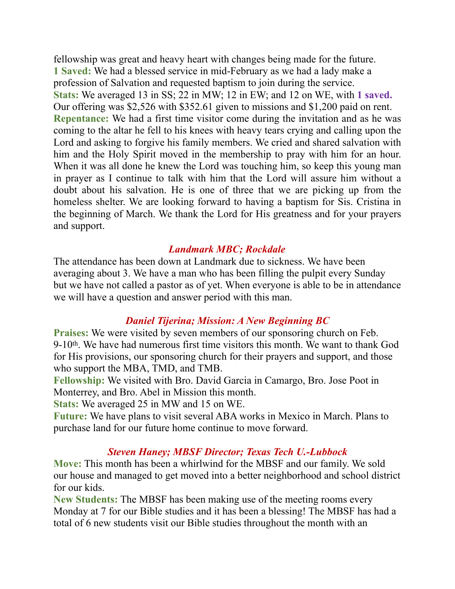fellowship was great and heavy heart with changes being made for the future. **1 Saved:** We had a blessed service in mid-February as we had a lady make a profession of Salvation and requested baptism to join during the service. **Stats:** We averaged 13 in SS; 22 in MW; 12 in EW; and 12 on WE, with **1 saved.** Our offering was \$2,526 with \$352.61 given to missions and \$1,200 paid on rent. **Repentance:** We had a first time visitor come during the invitation and as he was coming to the altar he fell to his knees with heavy tears crying and calling upon the Lord and asking to forgive his family members. We cried and shared salvation with him and the Holy Spirit moved in the membership to pray with him for an hour. When it was all done he knew the Lord was touching him, so keep this young man in prayer as I continue to talk with him that the Lord will assure him without a doubt about his salvation. He is one of three that we are picking up from the homeless shelter. We are looking forward to having a baptism for Sis. Cristina in the beginning of March. We thank the Lord for His greatness and for your prayers and support.

### *Landmark MBC; Rockdale*

The attendance has been down at Landmark due to sickness. We have been averaging about 3. We have a man who has been filling the pulpit every Sunday but we have not called a pastor as of yet. When everyone is able to be in attendance we will have a question and answer period with this man.

## *Daniel Tijerina; Mission: A New Beginning BC*

**Praises:** We were visited by seven members of our sponsoring church on Feb. 9-10th. We have had numerous first time visitors this month. We want to thank God for His provisions, our sponsoring church for their prayers and support, and those who support the MBA, TMD, and TMB.

**Fellowship:** We visited with Bro. David Garcia in Camargo, Bro. Jose Poot in Monterrey, and Bro. Abel in Mission this month.

**Stats:** We averaged 25 in MW and 15 on WE.

**Future:** We have plans to visit several ABA works in Mexico in March. Plans to purchase land for our future home continue to move forward.

#### *Steven Haney; MBSF Director; Texas Tech U.-Lubbock*

**Move:** This month has been a whirlwind for the MBSF and our family. We sold our house and managed to get moved into a better neighborhood and school district for our kids.

**New Students:** The MBSF has been making use of the meeting rooms every Monday at 7 for our Bible studies and it has been a blessing! The MBSF has had a total of 6 new students visit our Bible studies throughout the month with an